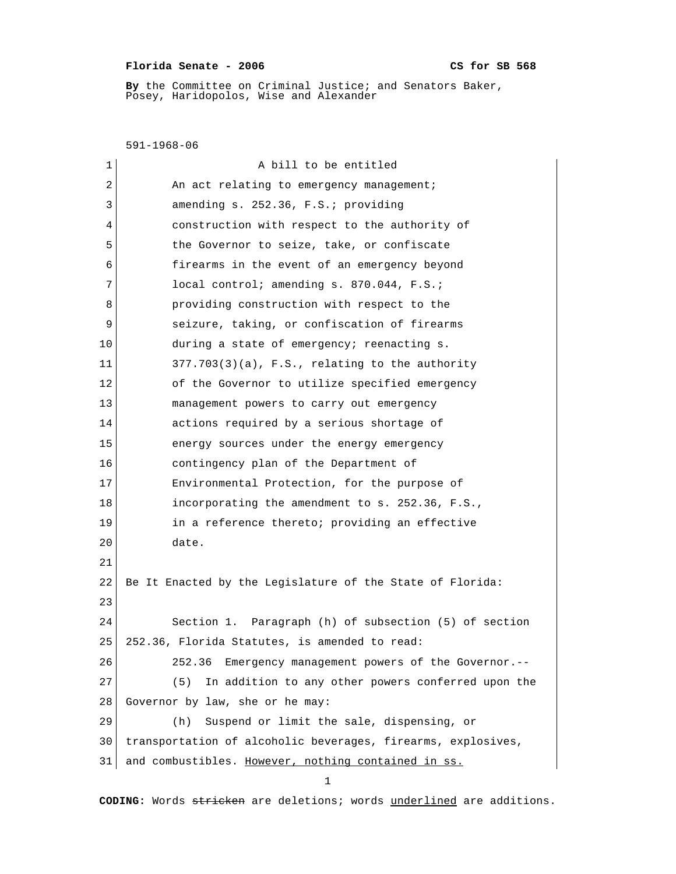## **Florida Senate - 2006 CS for SB 568**

 **By** the Committee on Criminal Justice; and Senators Baker, Posey, Haridopolos, Wise and Alexander

 591-1968-06 1 a bill to be entitled 2 An act relating to emergency management; 3 amending s. 252.36, F.S.; providing 4 construction with respect to the authority of 5 the Governor to seize, take, or confiscate 6 firearms in the event of an emergency beyond 7 **local control; amending s. 870.044, F.S.;** 8 **providing construction with respect to the** 9 seizure, taking, or confiscation of firearms 10 during a state of emergency; reenacting s. 11 377.703(3)(a), F.S., relating to the authority 12 of the Governor to utilize specified emergency 13 management powers to carry out emergency 14 actions required by a serious shortage of 15 energy sources under the energy emergency 16 contingency plan of the Department of 17 Environmental Protection, for the purpose of 18 incorporating the amendment to s. 252.36, F.S., 19 in a reference thereto; providing an effective 20 date. 21 22 Be It Enacted by the Legislature of the State of Florida: 23 24 Section 1. Paragraph (h) of subsection (5) of section 25 252.36, Florida Statutes, is amended to read: 26 252.36 Emergency management powers of the Governor.-- 27 (5) In addition to any other powers conferred upon the 28 Governor by law, she or he may: 29 (h) Suspend or limit the sale, dispensing, or 30 transportation of alcoholic beverages, firearms, explosives, 31 and combustibles. However, nothing contained in ss. 1

**CODING:** Words stricken are deletions; words underlined are additions.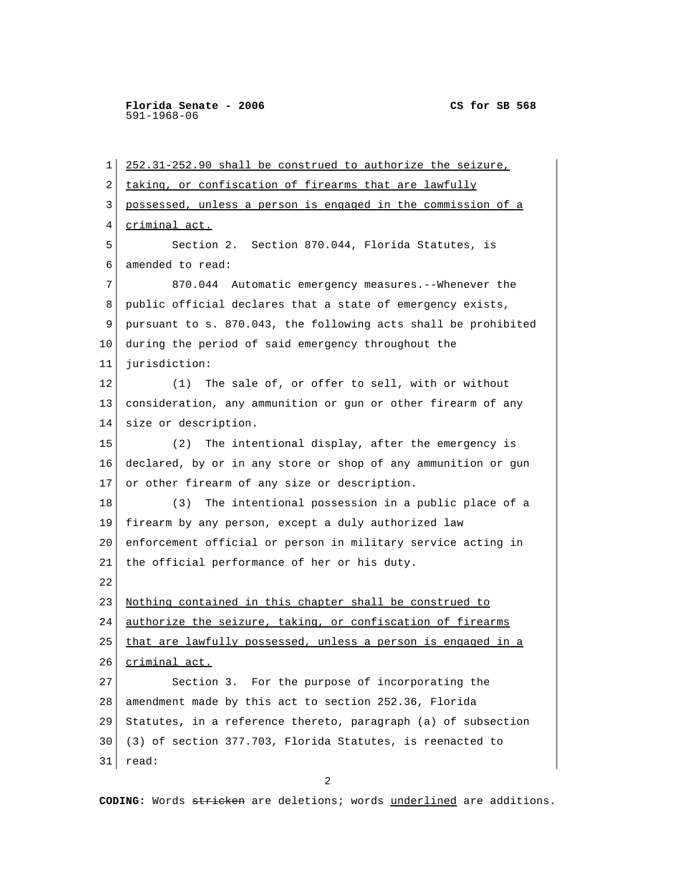1 252.31-252.90 shall be construed to authorize the seizure, 2 taking, or confiscation of firearms that are lawfully 3 possessed, unless a person is engaged in the commission of a 4 criminal act. 5 Section 2. Section 870.044, Florida Statutes, is 6 amended to read: 7 870.044 Automatic emergency measures.--Whenever the 8 public official declares that a state of emergency exists, 9 pursuant to s. 870.043, the following acts shall be prohibited 10 during the period of said emergency throughout the 11 jurisdiction: 12 (1) The sale of, or offer to sell, with or without 13 consideration, any ammunition or gun or other firearm of any 14 size or description. 15 (2) The intentional display, after the emergency is 16 declared, by or in any store or shop of any ammunition or gun 17 or other firearm of any size or description. 18 (3) The intentional possession in a public place of a 19 firearm by any person, except a duly authorized law 20 enforcement official or person in military service acting in 21 the official performance of her or his duty. 22 23 Nothing contained in this chapter shall be construed to 24 authorize the seizure, taking, or confiscation of firearms 25 that are lawfully possessed, unless a person is engaged in a 26 criminal act. 27 Section 3. For the purpose of incorporating the 28 amendment made by this act to section 252.36, Florida 29 Statutes, in a reference thereto, paragraph (a) of subsection 30 (3) of section 377.703, Florida Statutes, is reenacted to 31 read:

2

**CODING:** Words stricken are deletions; words underlined are additions.